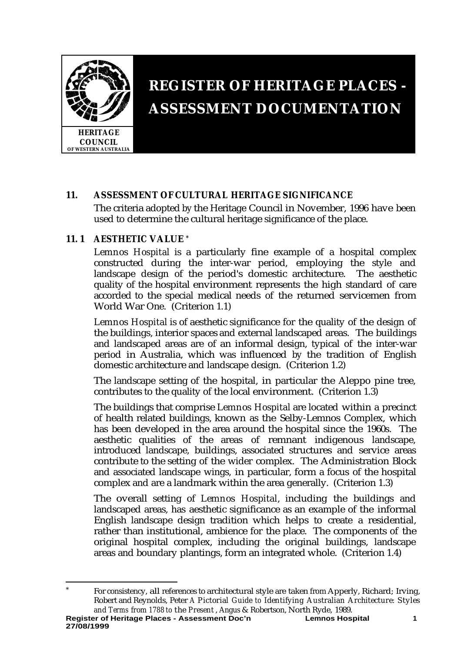

# **REGISTER OF HERITAGE PLACES - ASSESSMENT DOCUMENTATION**

# **11. ASSESSMENT OF CULTURAL HERITAGE SIGNIFICANCE**

The criteria adopted by the Heritage Council in November, 1996 have been used to determine the cultural heritage significance of the place.

# **11. 1 AESTHETIC VALUE \***

*Lemnos Hospital* is a particularly fine example of a hospital complex constructed during the inter-war period, employing the style and landscape design of the period's domestic architecture. The aesthetic quality of the hospital environment represents the high standard of care accorded to the special medical needs of the returned servicemen from World War One. (Criterion 1.1)

*Lemnos Hospital* is of aesthetic significance for the quality of the design of the buildings, interior spaces and external landscaped areas. The buildings and landscaped areas are of an informal design, typical of the inter-war period in Australia, which was influenced by the tradition of English domestic architecture and landscape design. (Criterion 1.2)

The landscape setting of the hospital, in particular the Aleppo pine tree, contributes to the quality of the local environment. (Criterion 1.3)

The buildings that comprise *Lemnos Hospital* are located within a precinct of health related buildings, known as the Selby-Lemnos Complex, which has been developed in the area around the hospital since the 1960s. The aesthetic qualities of the areas of remnant indigenous landscape, introduced landscape, buildings, associated structures and service areas contribute to the setting of the wider complex. The Administration Block and associated landscape wings, in particular, form a focus of the hospital complex and are a landmark within the area generally. (Criterion 1.3)

The overall setting of *Lemnos Hospital*, including the buildings and landscaped areas, has aesthetic significance as an example of the informal English landscape design tradition which helps to create a residential, rather than institutional, ambience for the place. The components of the original hospital complex, including the original buildings, landscape areas and boundary plantings, form an integrated whole. (Criterion 1.4)

**Register of Heritage Places - Assessment Doc'n Lemnos Hospital 1** l \* For consistency, all references to architectural style are taken from Apperly, Richard; Irving, Robert and Reynolds, Peter *A Pictorial Guide to Identifying Australian Architecture: Styles and Terms from 1788 to the Present* , Angus & Robertson, North Ryde, 1989.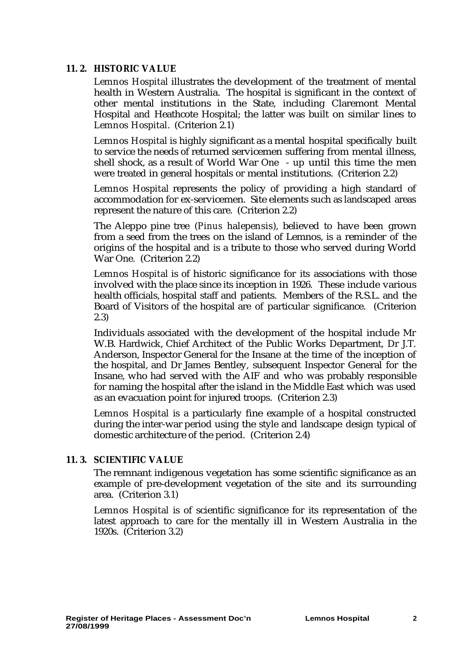# **11. 2. HISTORIC VALUE**

*Lemnos Hospital* illustrates the development of the treatment of mental health in Western Australia. The hospital is significant in the context of other mental institutions in the State, including Claremont Mental Hospital and Heathcote Hospital; the latter was built on similar lines to *Lemnos Hospital*. (Criterion 2.1)

*Lemnos Hospital* is highly significant as a mental hospital specifically built to service the needs of returned servicemen suffering from mental illness, shell shock, as a result of World War One - up until this time the men were treated in general hospitals or mental institutions. (Criterion 2.2)

*Lemnos Hospital* represents the policy of providing a high standard of accommodation for ex-servicemen. Site elements such as landscaped areas represent the nature of this care. (Criterion 2.2)

The Aleppo pine tree (*Pinus halepensis*), believed to have been grown from a seed from the trees on the island of Lemnos, is a reminder of the origins of the hospital and is a tribute to those who served during World War One. (Criterion 2.2)

*Lemnos Hospital* is of historic significance for its associations with those involved with the place since its inception in 1926. These include various health officials, hospital staff and patients. Members of the R.S.L. and the Board of Visitors of the hospital are of particular significance. (Criterion 2.3)

Individuals associated with the development of the hospital include Mr W.B. Hardwick, Chief Architect of the Public Works Department, Dr J.T. Anderson, Inspector General for the Insane at the time of the inception of the hospital, and Dr James Bentley, subsequent Inspector General for the Insane, who had served with the AIF and who was probably responsible for naming the hospital after the island in the Middle East which was used as an evacuation point for injured troops. (Criterion 2.3)

*Lemnos Hospital* is a particularly fine example of a hospital constructed during the inter-war period using the style and landscape design typical of domestic architecture of the period. (Criterion 2.4)

# **11. 3. SCIENTIFIC VALUE**

The remnant indigenous vegetation has some scientific significance as an example of pre-development vegetation of the site and its surrounding area. (Criterion 3.1)

*Lemnos Hospital* is of scientific significance for its representation of the latest approach to care for the mentally ill in Western Australia in the 1920s. (Criterion 3.2)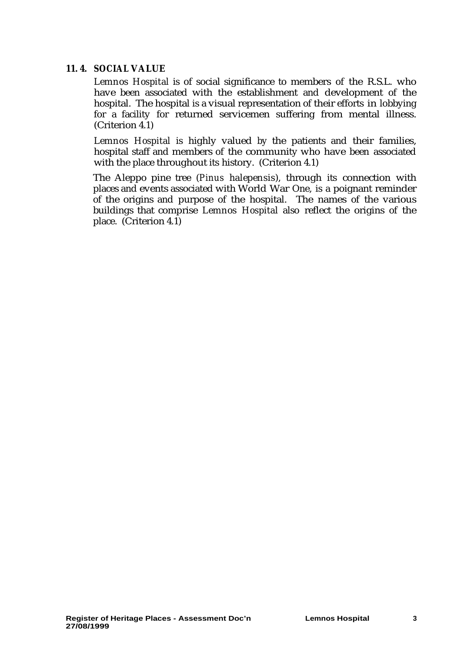# **11. 4. SOCIAL VALUE**

*Lemnos Hospital* is of social significance to members of the R.S.L. who have been associated with the establishment and development of the hospital. The hospital is a visual representation of their efforts in lobbying for a facility for returned servicemen suffering from mental illness. (Criterion 4.1)

*Lemnos Hospital* is highly valued by the patients and their families, hospital staff and members of the community who have been associated with the place throughout its history. (Criterion 4.1)

The Aleppo pine tree (*Pinus halepensis*), through its connection with places and events associated with World War One, is a poignant reminder of the origins and purpose of the hospital. The names of the various buildings that comprise *Lemnos Hospita*l also reflect the origins of the place. (Criterion 4.1)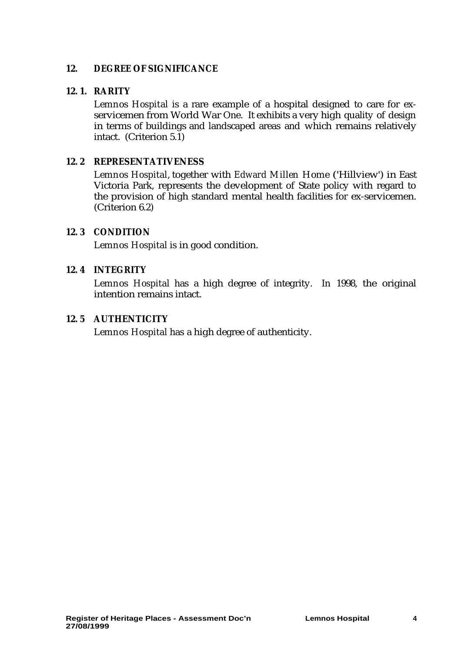# **12. DEGREE OF SIGNIFICANCE**

## **12. 1. RARITY**

*Lemnos Hospital* is a rare example of a hospital designed to care for exservicemen from World War One. It exhibits a very high quality of design in terms of buildings and landscaped areas and which remains relatively intact. (Criterion 5.1)

#### **12. 2 REPRESENTATIVENESS**

*Lemnos Hospital*, together with *Edward Millen Home* ('Hillview') in East Victoria Park, represents the development of State policy with regard to the provision of high standard mental health facilities for ex-servicemen. (Criterion 6.2)

#### **12. 3 CONDITION**

*Lemnos Hospital* is in good condition.

# **12. 4 INTEGRITY**

*Lemnos Hospital* has a high degree of integrity. In 1998, the original intention remains intact.

#### **12. 5 AUTHENTICITY**

*Lemnos Hospital* has a high degree of authenticity.